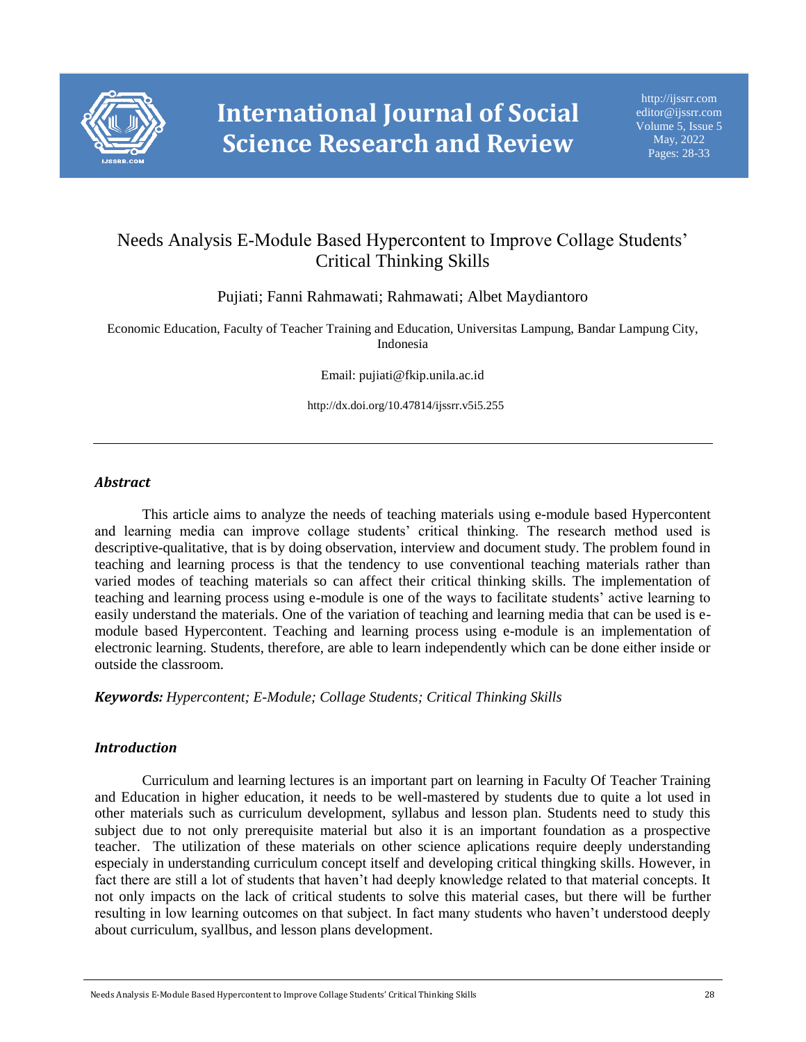

# Needs Analysis E-Module Based Hypercontent to Improve Collage Students' Critical Thinking Skills

Pujiati; Fanni Rahmawati; Rahmawati; Albet Maydiantoro

Economic Education, Faculty of Teacher Training and Education, Universitas Lampung, Bandar Lampung City, Indonesia

Email: pujiati@fkip.unila.ac.id

http://dx.doi.org/10.47814/ijssrr.v5i5.255

#### *Abstract*

This article aims to analyze the needs of teaching materials using e-module based Hypercontent and learning media can improve collage students' critical thinking. The research method used is descriptive-qualitative, that is by doing observation, interview and document study. The problem found in teaching and learning process is that the tendency to use conventional teaching materials rather than varied modes of teaching materials so can affect their critical thinking skills. The implementation of teaching and learning process using e-module is one of the ways to facilitate students' active learning to easily understand the materials. One of the variation of teaching and learning media that can be used is emodule based Hypercontent. Teaching and learning process using e-module is an implementation of electronic learning. Students, therefore, are able to learn independently which can be done either inside or outside the classroom.

*Keywords: Hypercontent; E-Module; Collage Students; Critical Thinking Skills*

#### *Introduction*

Curriculum and learning lectures is an important part on learning in Faculty Of Teacher Training and Education in higher education, it needs to be well-mastered by students due to quite a lot used in other materials such as curriculum development, syllabus and lesson plan. Students need to study this subject due to not only prerequisite material but also it is an important foundation as a prospective teacher. The utilization of these materials on other science aplications require deeply understanding especialy in understanding curriculum concept itself and developing critical thingking skills. However, in fact there are still a lot of students that haven't had deeply knowledge related to that material concepts. It not only impacts on the lack of critical students to solve this material cases, but there will be further resulting in low learning outcomes on that subject. In fact many students who haven't understood deeply about curriculum, syallbus, and lesson plans development.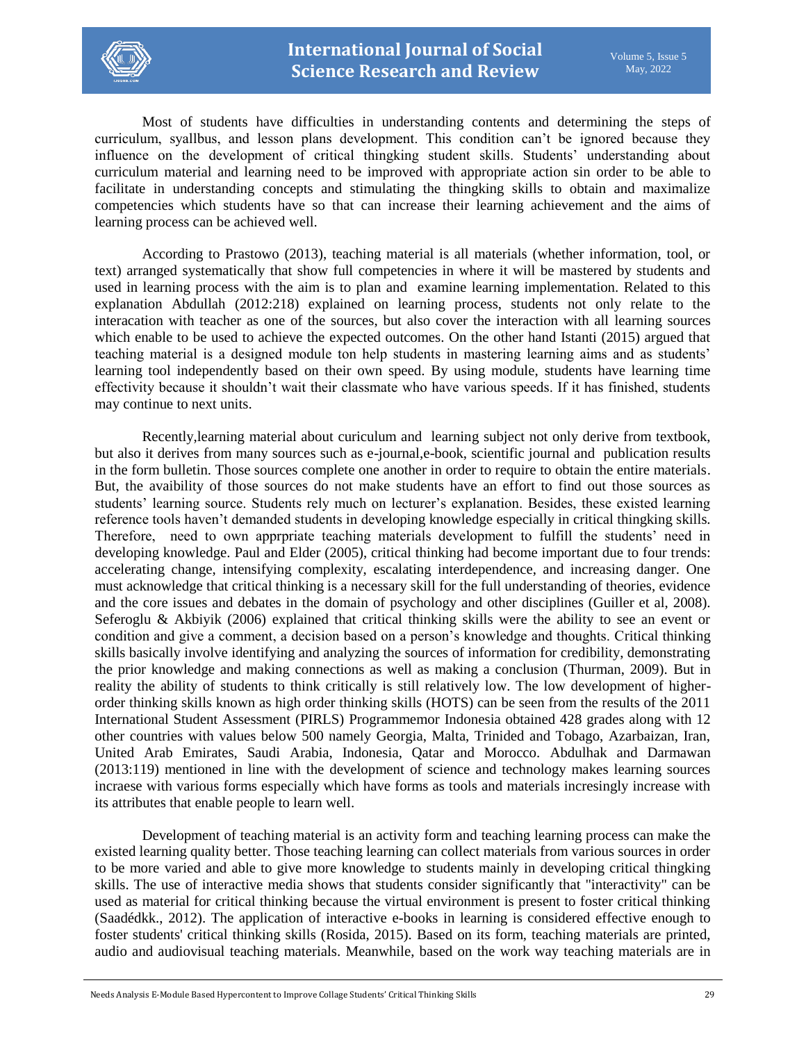

Most of students have difficulties in understanding contents and determining the steps of curriculum, syallbus, and lesson plans development. This condition can't be ignored because they influence on the development of critical thingking student skills. Students' understanding about curriculum material and learning need to be improved with appropriate action sin order to be able to facilitate in understanding concepts and stimulating the thingking skills to obtain and maximalize competencies which students have so that can increase their learning achievement and the aims of learning process can be achieved well.

According to Prastowo (2013), teaching material is all materials (whether information, tool, or text) arranged systematically that show full competencies in where it will be mastered by students and used in learning process with the aim is to plan and examine learning implementation. Related to this explanation Abdullah (2012:218) explained on learning process, students not only relate to the interacation with teacher as one of the sources, but also cover the interaction with all learning sources which enable to be used to achieve the expected outcomes. On the other hand Istanti (2015) argued that teaching material is a designed module ton help students in mastering learning aims and as students' learning tool independently based on their own speed. By using module, students have learning time effectivity because it shouldn't wait their classmate who have various speeds. If it has finished, students may continue to next units.

Recently,learning material about curiculum and learning subject not only derive from textbook, but also it derives from many sources such as e-journal,e-book, scientific journal and publication results in the form bulletin. Those sources complete one another in order to require to obtain the entire materials. But, the avaibility of those sources do not make students have an effort to find out those sources as students' learning source. Students rely much on lecturer's explanation. Besides, these existed learning reference tools haven't demanded students in developing knowledge especially in critical thingking skills. Therefore, need to own apprpriate teaching materials development to fulfill the students' need in developing knowledge. Paul and Elder (2005), critical thinking had become important due to four trends: accelerating change, intensifying complexity, escalating interdependence, and increasing danger. One must acknowledge that critical thinking is a necessary skill for the full understanding of theories, evidence and the core issues and debates in the domain of psychology and other disciplines (Guiller et al, 2008). Seferoglu & Akbiyik (2006) explained that critical thinking skills were the ability to see an event or condition and give a comment, a decision based on a person's knowledge and thoughts. Critical thinking skills basically involve identifying and analyzing the sources of information for credibility, demonstrating the prior knowledge and making connections as well as making a conclusion (Thurman, 2009). But in reality the ability of students to think critically is still relatively low. The low development of higherorder thinking skills known as high order thinking skills (HOTS) can be seen from the results of the 2011 International Student Assessment (PIRLS) Programmemor Indonesia obtained 428 grades along with 12 other countries with values below 500 namely Georgia, Malta, Trinided and Tobago, Azarbaizan, Iran, United Arab Emirates, Saudi Arabia, Indonesia, Qatar and Morocco. Abdulhak and Darmawan (2013:119) mentioned in line with the development of science and technology makes learning sources incraese with various forms especially which have forms as tools and materials incresingly increase with its attributes that enable people to learn well.

Development of teaching material is an activity form and teaching learning process can make the existed learning quality better. Those teaching learning can collect materials from various sources in order to be more varied and able to give more knowledge to students mainly in developing critical thingking skills. The use of interactive media shows that students consider significantly that "interactivity" can be used as material for critical thinking because the virtual environment is present to foster critical thinking (Saadédkk., 2012). The application of interactive e-books in learning is considered effective enough to foster students' critical thinking skills (Rosida, 2015). Based on its form, teaching materials are printed, audio and audiovisual teaching materials. Meanwhile, based on the work way teaching materials are in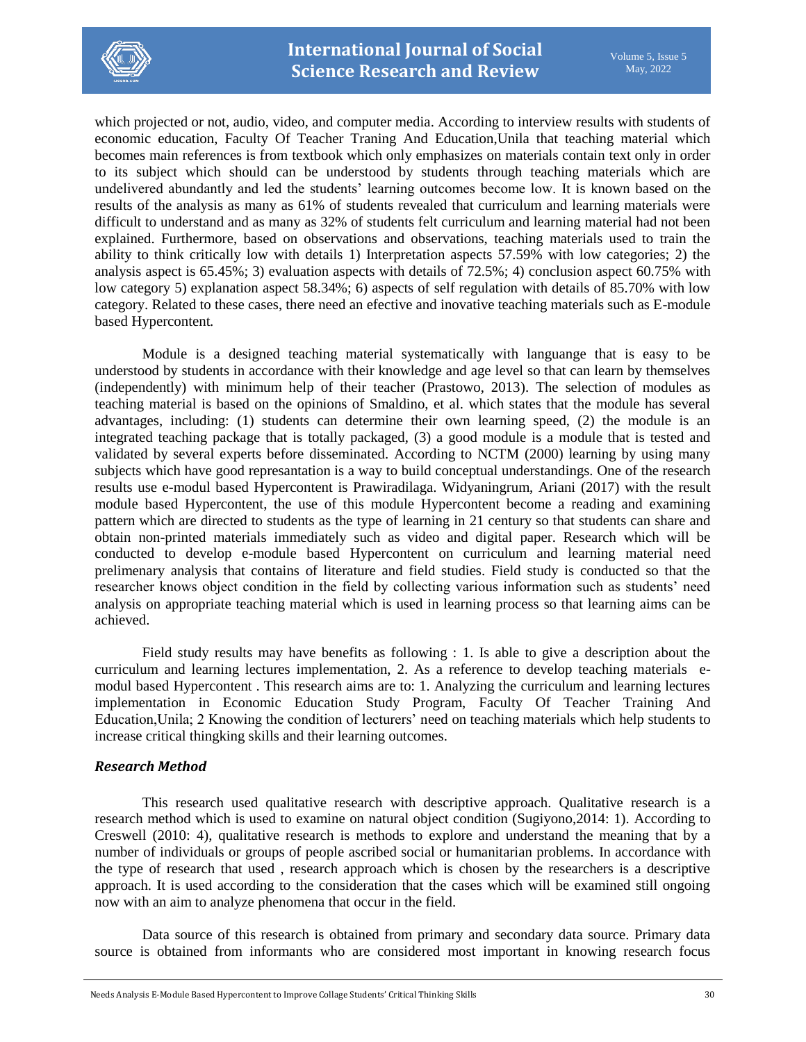

which projected or not, audio, video, and computer media. According to interview results with students of economic education, Faculty Of Teacher Traning And Education,Unila that teaching material which becomes main references is from textbook which only emphasizes on materials contain text only in order to its subject which should can be understood by students through teaching materials which are undelivered abundantly and led the students' learning outcomes become low. It is known based on the results of the analysis as many as 61% of students revealed that curriculum and learning materials were difficult to understand and as many as 32% of students felt curriculum and learning material had not been explained. Furthermore, based on observations and observations, teaching materials used to train the ability to think critically low with details 1) Interpretation aspects 57.59% with low categories; 2) the analysis aspect is 65.45%; 3) evaluation aspects with details of 72.5%; 4) conclusion aspect 60.75% with low category 5) explanation aspect 58.34%; 6) aspects of self regulation with details of 85.70% with low category. Related to these cases, there need an efective and inovative teaching materials such as E-module based Hypercontent*.*

Module is a designed teaching material systematically with languange that is easy to be understood by students in accordance with their knowledge and age level so that can learn by themselves (independently) with minimum help of their teacher (Prastowo, 2013). The selection of modules as teaching material is based on the opinions of Smaldino, et al. which states that the module has several advantages, including: (1) students can determine their own learning speed, (2) the module is an integrated teaching package that is totally packaged, (3) a good module is a module that is tested and validated by several experts before disseminated. According to NCTM (2000) learning by using many subjects which have good represantation is a way to build conceptual understandings. One of the research results use e-modul based Hypercontent is Prawiradilaga. Widyaningrum, Ariani (2017) with the result module based Hypercontent, the use of this module Hypercontent become a reading and examining pattern which are directed to students as the type of learning in 21 century so that students can share and obtain non-printed materials immediately such as video and digital paper. Research which will be conducted to develop e-module based Hypercontent on curriculum and learning material need prelimenary analysis that contains of literature and field studies. Field study is conducted so that the researcher knows object condition in the field by collecting various information such as students' need analysis on appropriate teaching material which is used in learning process so that learning aims can be achieved.

Field study results may have benefits as following : 1. Is able to give a description about the curriculum and learning lectures implementation, 2. As a reference to develop teaching materials emodul based Hypercontent . This research aims are to: 1. Analyzing the curriculum and learning lectures implementation in Economic Education Study Program, Faculty Of Teacher Training And Education,Unila; 2 Knowing the condition of lecturers' need on teaching materials which help students to increase critical thingking skills and their learning outcomes.

## *Research Method*

This research used qualitative research with descriptive approach. Qualitative research is a research method which is used to examine on natural object condition (Sugiyono,2014: 1). According to Creswell (2010: 4), qualitative research is methods to explore and understand the meaning that by a number of individuals or groups of people ascribed social or humanitarian problems. In accordance with the type of research that used , research approach which is chosen by the researchers is a descriptive approach. It is used according to the consideration that the cases which will be examined still ongoing now with an aim to analyze phenomena that occur in the field.

Data source of this research is obtained from primary and secondary data source. Primary data source is obtained from informants who are considered most important in knowing research focus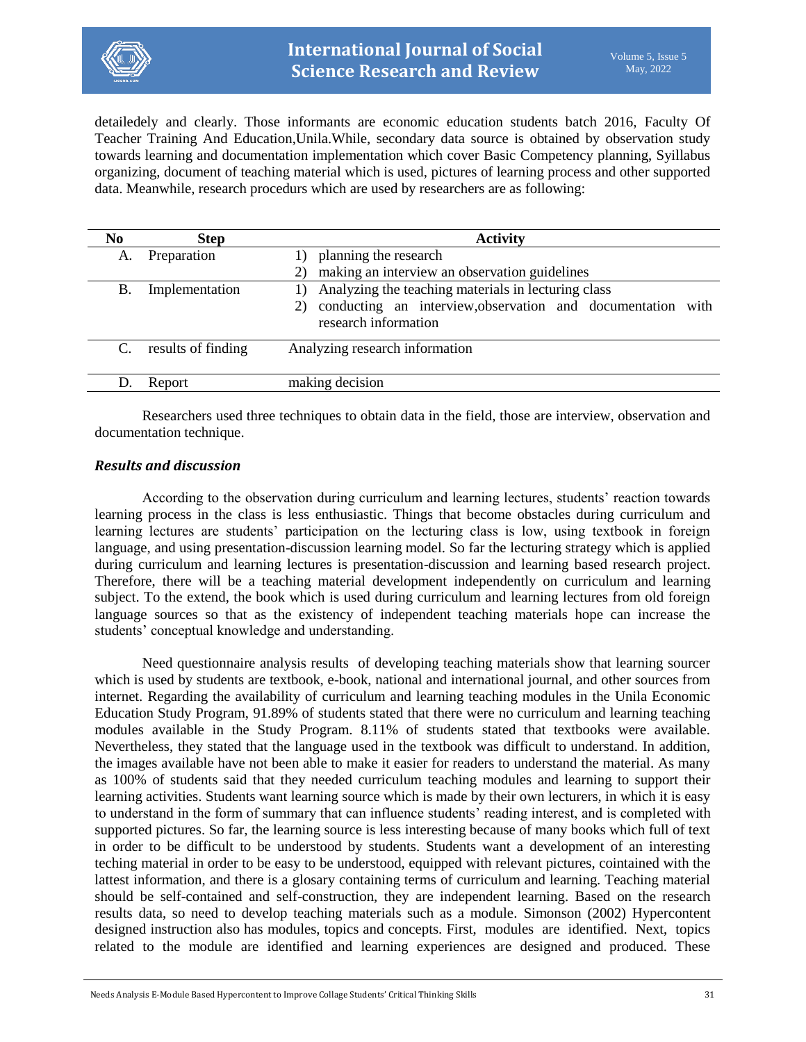

detailedely and clearly. Those informants are economic education students batch 2016, Faculty Of Teacher Training And Education,Unila.While, secondary data source is obtained by observation study towards learning and documentation implementation which cover Basic Competency planning, Syillabus organizing, document of teaching material which is used, pictures of learning process and other supported data. Meanwhile, research procedurs which are used by researchers are as following:

| N <sub>0</sub> | <b>Step</b>        | <b>Activity</b>                                                                     |
|----------------|--------------------|-------------------------------------------------------------------------------------|
| A.             | Preparation        | planning the research                                                               |
|                |                    | making an interview an observation guidelines                                       |
| Β.             | Implementation     | Analyzing the teaching materials in lecturing class                                 |
|                |                    | conducting an interview, observation and documentation with<br>research information |
| C.             | results of finding | Analyzing research information                                                      |
|                | Report             | making decision                                                                     |
|                |                    |                                                                                     |

Researchers used three techniques to obtain data in the field, those are interview, observation and documentation technique.

## *Results and discussion*

According to the observation during curriculum and learning lectures, students' reaction towards learning process in the class is less enthusiastic. Things that become obstacles during curriculum and learning lectures are students' participation on the lecturing class is low, using textbook in foreign language, and using presentation-discussion learning model. So far the lecturing strategy which is applied during curriculum and learning lectures is presentation-discussion and learning based research project. Therefore, there will be a teaching material development independently on curriculum and learning subject. To the extend, the book which is used during curriculum and learning lectures from old foreign language sources so that as the existency of independent teaching materials hope can increase the students' conceptual knowledge and understanding.

Need questionnaire analysis results of developing teaching materials show that learning sourcer which is used by students are textbook, e-book, national and international journal, and other sources from internet. Regarding the availability of curriculum and learning teaching modules in the Unila Economic Education Study Program, 91.89% of students stated that there were no curriculum and learning teaching modules available in the Study Program. 8.11% of students stated that textbooks were available. Nevertheless, they stated that the language used in the textbook was difficult to understand. In addition, the images available have not been able to make it easier for readers to understand the material. As many as 100% of students said that they needed curriculum teaching modules and learning to support their learning activities. Students want learning source which is made by their own lecturers, in which it is easy to understand in the form of summary that can influence students' reading interest, and is completed with supported pictures. So far, the learning source is less interesting because of many books which full of text in order to be difficult to be understood by students. Students want a development of an interesting teching material in order to be easy to be understood, equipped with relevant pictures, cointained with the lattest information, and there is a glosary containing terms of curriculum and learning. Teaching material should be self-contained and self-construction, they are independent learning. Based on the research results data, so need to develop teaching materials such as a module. Simonson (2002) Hypercontent designed instruction also has modules, topics and concepts. First, modules are identified. Next, topics related to the module are identified and learning experiences are designed and produced. These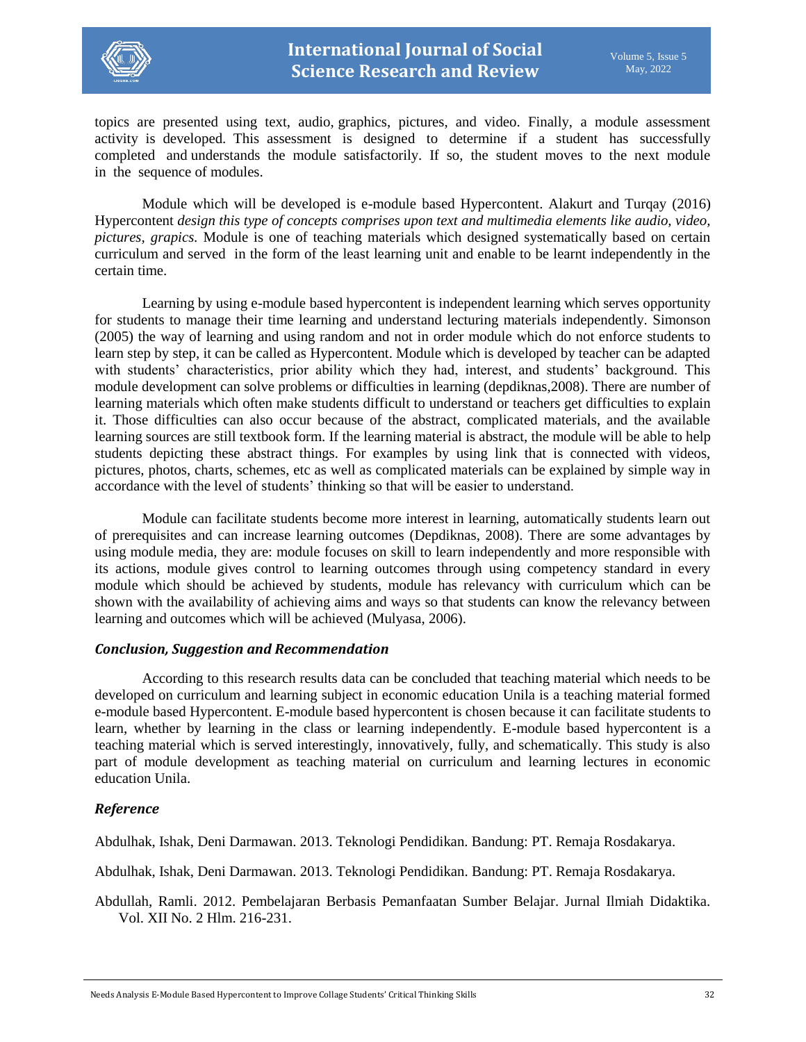

topics are presented using text, audio, graphics, pictures, and video. Finally, a module assessment activity is developed. This assessment is designed to determine if a student has successfully completed and understands the module satisfactorily. If so, the student moves to the next module in the sequence of modules.

Module which will be developed is e-module based Hypercontent. Alakurt and Turqay (2016) Hypercontent *design this type of concepts comprises upon text and multimedia elements like audio, video, pictures, grapics.* Module is one of teaching materials which designed systematically based on certain curriculum and served in the form of the least learning unit and enable to be learnt independently in the certain time.

Learning by using e-module based hypercontent is independent learning which serves opportunity for students to manage their time learning and understand lecturing materials independently. Simonson (2005) the way of learning and using random and not in order module which do not enforce students to learn step by step, it can be called as Hypercontent. Module which is developed by teacher can be adapted with students' characteristics, prior ability which they had, interest, and students' background. This module development can solve problems or difficulties in learning (depdiknas,2008). There are number of learning materials which often make students difficult to understand or teachers get difficulties to explain it. Those difficulties can also occur because of the abstract, complicated materials, and the available learning sources are still textbook form. If the learning material is abstract, the module will be able to help students depicting these abstract things. For examples by using link that is connected with videos, pictures, photos, charts, schemes, etc as well as complicated materials can be explained by simple way in accordance with the level of students' thinking so that will be easier to understand.

Module can facilitate students become more interest in learning, automatically students learn out of prerequisites and can increase learning outcomes (Depdiknas, 2008). There are some advantages by using module media, they are: module focuses on skill to learn independently and more responsible with its actions, module gives control to learning outcomes through using competency standard in every module which should be achieved by students, module has relevancy with curriculum which can be shown with the availability of achieving aims and ways so that students can know the relevancy between learning and outcomes which will be achieved (Mulyasa, 2006).

#### *Conclusion, Suggestion and Recommendation*

According to this research results data can be concluded that teaching material which needs to be developed on curriculum and learning subject in economic education Unila is a teaching material formed e-module based Hypercontent. E-module based hypercontent is chosen because it can facilitate students to learn, whether by learning in the class or learning independently. E-module based hypercontent is a teaching material which is served interestingly, innovatively, fully, and schematically. This study is also part of module development as teaching material on curriculum and learning lectures in economic education Unila.

## *Reference*

Abdulhak, Ishak, Deni Darmawan. 2013. Teknologi Pendidikan. Bandung: PT. Remaja Rosdakarya.

Abdulhak, Ishak, Deni Darmawan. 2013. Teknologi Pendidikan. Bandung: PT. Remaja Rosdakarya.

Abdullah, Ramli. 2012. Pembelajaran Berbasis Pemanfaatan Sumber Belajar. Jurnal Ilmiah Didaktika. Vol. XII No. 2 Hlm. 216-231.